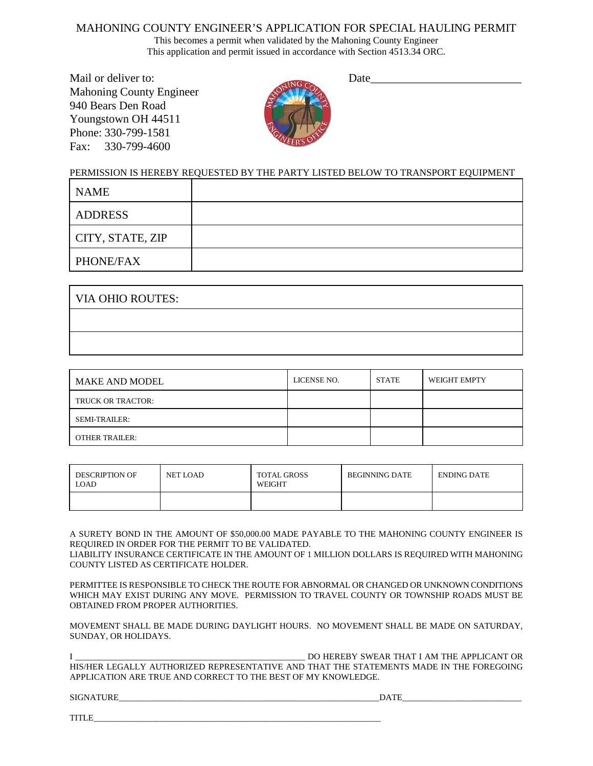## MAHONING COUNTY ENGINEER'S APPLICATION FOR SPECIAL HAULING PERMIT

This becomes a permit when validated by the Mahoning County Engineer This application and permit issued in accordance with Section 4513.34 ORC.

Mail or deliver to: Date Mahoning County Engineer 940 Bears Den Road Youngstown OH 44511 Phone: 330-799-1581 Fax: 330-799-4600



## PERMISSION IS HEREBY REQUESTED BY THE PARTY LISTED BELOW TO TRANSPORT EQUIPMENT

| <b>NAME</b>      |  |
|------------------|--|
| ADDRESS          |  |
| CITY, STATE, ZIP |  |
| PHONE/FAX        |  |

| VIA OHIO ROUTES: |  |  |
|------------------|--|--|
|                  |  |  |
|                  |  |  |

| MAKE AND MODEL        | LICENSE NO. | <b>STATE</b> | <b>WEIGHT EMPTY</b> |
|-----------------------|-------------|--------------|---------------------|
| TRUCK OR TRACTOR:     |             |              |                     |
| <b>SEMI-TRAILER:</b>  |             |              |                     |
| <b>OTHER TRAILER:</b> |             |              |                     |

| DESCRIPTION OF<br>LOAD | NET LOAD | <b>TOTAL GROSS</b><br>WEIGHT | BEGINNING DATE | <b>ENDING DATE</b> |
|------------------------|----------|------------------------------|----------------|--------------------|
|                        |          |                              |                |                    |

A SURETY BOND IN THE AMOUNT OF \$50,000.00 MADE PAYABLE TO THE MAHONING COUNTY ENGINEER IS REQUIRED IN ORDER FOR THE PERMIT TO BE VALIDATED.

LIABILITY INSURANCE CERTIFICATE IN THE AMOUNT OF 1 MILLION DOLLARS IS REQUIRED WITH MAHONING COUNTY LISTED AS CERTIFICATE HOLDER.

PERMITTEE IS RESPONSIBLE TO CHECK THE ROUTE FOR ABNORMAL OR CHANGED OR UNKNOWN CONDITIONS WHICH MAY EXIST DURING ANY MOVE. PERMISSION TO TRAVEL COUNTY OR TOWNSHIP ROADS MUST BE OBTAINED FROM PROPER AUTHORITIES.

MOVEMENT SHALL BE MADE DURING DAYLIGHT HOURS. NO MOVEMENT SHALL BE MADE ON SATURDAY, SUNDAY, OR HOLIDAYS.

I LETTING IN THE APPLICANT OR THAT I AM THE APPLICANT OR HIS/HER LEGALLY AUTHORIZED REPRESENTATIVE AND THAT THE STATEMENTS MADE IN THE FOREGOING APPLICATION ARE TRUE AND CORRECT TO THE BEST OF MY KNOWLEDGE.

SIGNATURE\_\_\_\_\_\_\_\_\_\_\_\_\_\_\_\_\_\_\_\_\_\_\_\_\_\_\_\_\_\_\_\_\_\_\_\_\_\_\_\_\_\_\_\_\_\_\_\_\_\_\_\_\_\_\_\_\_\_\_DATE\_\_\_\_\_\_\_\_\_\_\_\_\_\_\_\_\_\_\_\_\_\_\_\_\_\_\_

| TIT D<br>111LC<br>_____ |  |  |
|-------------------------|--|--|
|                         |  |  |